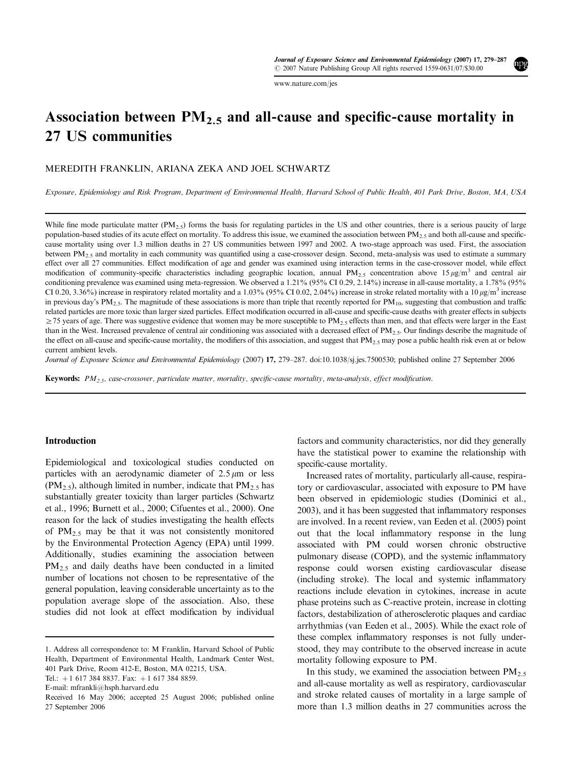www.nature.com/jes

# Association between  $PM_{2.5}$  and all-cause and specific-cause mortality in 27 US communities

## MEREDITH FRANKLIN, ARIANA ZEKA AND JOEL SCHWARTZ

Exposure, Epidemiology and Risk Program, Department of Environmental Health, Harvard School of Public Health, 401 Park Drive, Boston, MA, USA

While fine mode particulate matter (PM<sub>2.5</sub>) forms the basis for regulating particles in the US and other countries, there is a serious paucity of large population-based studies of its acute effect on mortality. To address this issue, we examined the association between  $PM_{2.5}$  and both all-cause and specificcause mortality using over 1.3 million deaths in 27 US communities between 1997 and 2002. A two-stage approach was used. First, the association between  $PM_{2.5}$  and mortality in each community was quantified using a case-crossover design. Second, meta-analysis was used to estimate a summary effect over all 27 communities. Effect modification of age and gender was examined using interaction terms in the case-crossover model, while effect modification of community-specific characteristics including geographic location, annual PM<sub>2.5</sub> concentration above 15  $\mu$ g/m<sup>3</sup> and central air conditioning prevalence was examined using meta-regression. We observed a 1.21% (95% CI 0.29, 2.14%) increase in all-cause mortality, a 1.78% (95% CI 0.20, 3.36%) increase in respiratory related mortality and a 1.03% (95% CI 0.02, 2.04%) increase in stroke related mortality with a 10  $\mu$ g/m<sup>3</sup> increase in previous day's PM<sub>2.5</sub>. The magnitude of these associations is more than triple that recently reported for PM<sub>10</sub>, suggesting that combustion and traffic related particles are more toxic than larger sized particles. Effect modification occurred in all-cause and specific-cause deaths with greater effects in subjects  $\geq$  75 years of age. There was suggestive evidence that women may be more susceptible to PM<sub>2.5</sub> effects than men, and that effects were larger in the East than in the West. Increased prevalence of central air conditioning was associated with a decreased effect of  $PM_{2.5}$ . Our findings describe the magnitude of the effect on all-cause and specific-cause mortality, the modifiers of this association, and suggest that  $PM_{2.5}$  may pose a public health risk even at or below current ambient levels.

Journal of Exposure Science and Environmental Epidemiology (2007) 17, 279-287. doi:10.1038/sj.jes.7500530; published online 27 September 2006

**Keywords:**  $PM_{2.5}$ , case-crossover, particulate matter, mortality, specific-cause mortality, meta-analysis, effect modification.

#### Introduction

Epidemiological and toxicological studies conducted on particles with an aerodynamic diameter of  $2.5 \mu m$  or less  $(PM_{2.5})$ , although limited in number, indicate that  $PM_{2.5}$  has substantially greater toxicity than larger particles (Schwartz et al., 1996; Burnett et al., 2000; Cifuentes et al., 2000). One reason for the lack of studies investigating the health effects of  $PM_{2.5}$  may be that it was not consistently monitored by the Environmental Protection Agency (EPA) until 1999. Additionally, studies examining the association between  $PM<sub>2.5</sub>$  and daily deaths have been conducted in a limited number of locations not chosen to be representative of the general population, leaving considerable uncertainty as to the population average slope of the association. Also, these studies did not look at effect modification by individual

factors and community characteristics, nor did they generally have the statistical power to examine the relationship with specific-cause mortality.

Increased rates of mortality, particularly all-cause, respiratory or cardiovascular, associated with exposure to PM have been observed in epidemiologic studies (Dominici et al., 2003), and it has been suggested that inflammatory responses are involved. In a recent review, van Eeden et al. (2005) point out that the local inflammatory response in the lung associated with PM could worsen chronic obstructive pulmonary disease (COPD), and the systemic inflammatory response could worsen existing cardiovascular disease (including stroke). The local and systemic inflammatory reactions include elevation in cytokines, increase in acute phase proteins such as C-reactive protein, increase in clotting factors, destabilization of atherosclerotic plaques and cardiac arrhythmias (van Eeden et al., 2005). While the exact role of these complex inflammatory responses is not fully understood, they may contribute to the observed increase in acute mortality following exposure to PM.

In this study, we examined the association between  $PM_{2.5}$ and all-cause mortality as well as respiratory, cardiovascular and stroke related causes of mortality in a large sample of more than 1.3 million deaths in 27 communities across the

<sup>1.</sup> Address all correspondence to: M Franklin, Harvard School of Public Health, Department of Environmental Health, Landmark Center West, 401 Park Drive, Room 412-E, Boston, MA 02215, USA.

Tel.:  $+1$  617 384 8837. Fax:  $+1$  617 384 8859.

E-mail: mfrankli@hsph.harvard.edu

Received 16 May 2006; accepted 25 August 2006; published online 27 September 2006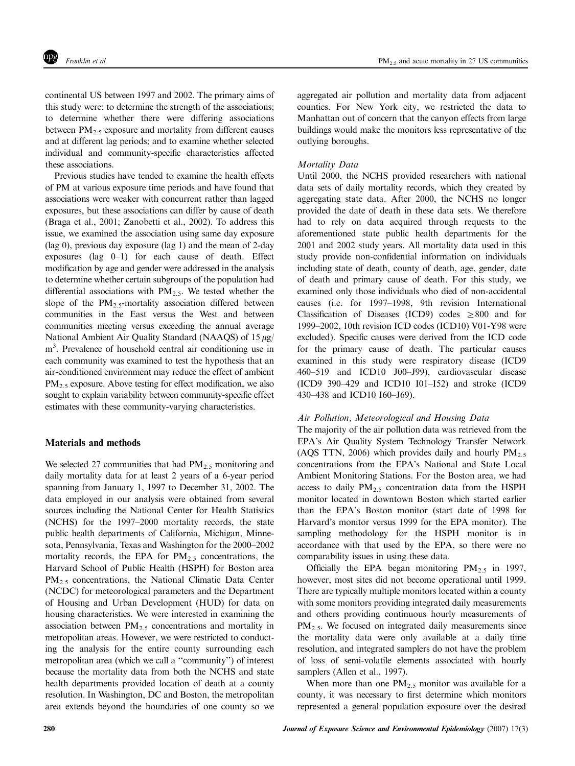continental US between 1997 and 2002. The primary aims of this study were: to determine the strength of the associations; to determine whether there were differing associations between  $PM_{2.5}$  exposure and mortality from different causes and at different lag periods; and to examine whether selected individual and community-specific characteristics affected these associations.

Previous studies have tended to examine the health effects of PM at various exposure time periods and have found that associations were weaker with concurrent rather than lagged exposures, but these associations can differ by cause of death (Braga et al., 2001; Zanobetti et al., 2002). To address this issue, we examined the association using same day exposure (lag 0), previous day exposure (lag 1) and the mean of 2-day exposures (lag  $0-1$ ) for each cause of death. Effect modification by age and gender were addressed in the analysis to determine whether certain subgroups of the population had differential associations with  $PM_{2.5}$ . We tested whether the slope of the  $PM_{2.5}$ -mortality association differed between communities in the East versus the West and between communities meeting versus exceeding the annual average National Ambient Air Quality Standard (NAAQS) of  $15 \mu g$ / m<sup>3</sup>. Prevalence of household central air conditioning use in each community was examined to test the hypothesis that an air-conditioned environment may reduce the effect of ambient PM<sub>2.5</sub> exposure. Above testing for effect modification, we also sought to explain variability between community-specific effect estimates with these community-varying characteristics.

#### Materials and methods

We selected 27 communities that had  $PM<sub>2.5</sub>$  monitoring and daily mortality data for at least 2 years of a 6-year period spanning from January 1, 1997 to December 31, 2002. The data employed in our analysis were obtained from several sources including the National Center for Health Statistics (NCHS) for the 1997–2000 mortality records, the state public health departments of California, Michigan, Minnesota, Pennsylvania, Texas and Washington for the 2000–2002 mortality records, the EPA for  $PM_{2.5}$  concentrations, the Harvard School of Public Health (HSPH) for Boston area  $PM<sub>2.5</sub>$  concentrations, the National Climatic Data Center (NCDC) for meteorological parameters and the Department of Housing and Urban Development(HUD) for data on housing characteristics. We were interested in examining the association between  $PM_{2.5}$  concentrations and mortality in metropolitan areas. However, we were restricted to conducting the analysis for the entire county surrounding each metropolitan area (which we call a ''community'') of interest because the mortality data from both the NCHS and state health departments provided location of death at a county resolution. In Washington, DC and Boston, the metropolitan area extends beyond the boundaries of one county so we aggregated air pollution and mortality data from adjacent counties. For New York city, we restricted the data to Manhattan out of concern that the canyon effects from large buildings would make the monitors less representative of the outlying boroughs.

## Mortality Data

Until 2000, the NCHS provided researchers with national data sets of daily mortality records, which they created by aggregating state data. After 2000, the NCHS no longer provided the date of death in these data sets. We therefore had to rely on data acquired through requests to the aforementioned state public health departments for the 2001 and 2002 study years. All mortality data used in this study provide non-confidential information on individuals including state of death, county of death, age, gender, date of death and primary cause of death. For this study, we examined only those individuals who died of non-accidental causes (i.e. for 1997–1998, 9th revision International Classification of Diseases (ICD9) codes  $\geq 800$  and for 1999–2002, 10th revision ICD codes (ICD10) V01-Y98 were excluded). Specific causes were derived from the ICD code for the primary cause of death. The particular causes examined in this study were respiratory disease (ICD9 460–519 and ICD10 J00–J99), cardiovascular disease (ICD9 390–429 and ICD10 I01–I52) and stroke (ICD9 430–438 and ICD10 I60–J69).

#### Air Pollution, Meteorological and Housing Data

The majority of the air pollution data was retrieved from the EPA's Air Quality System Technology Transfer Network (AQS TTN, 2006) which provides daily and hourly  $PM_2$ . concentrations from the EPA's National and State Local Ambient Monitoring Stations. For the Boston area, we had access to daily  $PM_{2.5}$  concentration data from the HSPH monitor located in downtown Boston which started earlier than the EPA's Boston monitor (start date of 1998 for Harvard's monitor versus 1999 for the EPA monitor). The sampling methodology for the HSPH monitor is in accordance with that used by the EPA, so there were no comparability issues in using these data.

Officially the EPA began monitoring  $PM_{2.5}$  in 1997, however, most sites did not become operational until 1999. There are typically multiple monitors located within a county with some monitors providing integrated daily measurements and others providing continuous hourly measurements of  $PM<sub>2.5</sub>$ . We focused on integrated daily measurements since the mortality data were only available at a daily time resolution, and integrated samplers do not have the problem of loss of semi-volatile elements associated with hourly samplers (Allen et al., 1997).

When more than one  $PM_{2.5}$  monitor was available for a county, it was necessary to first determine which monitors represented a general population exposure over the desired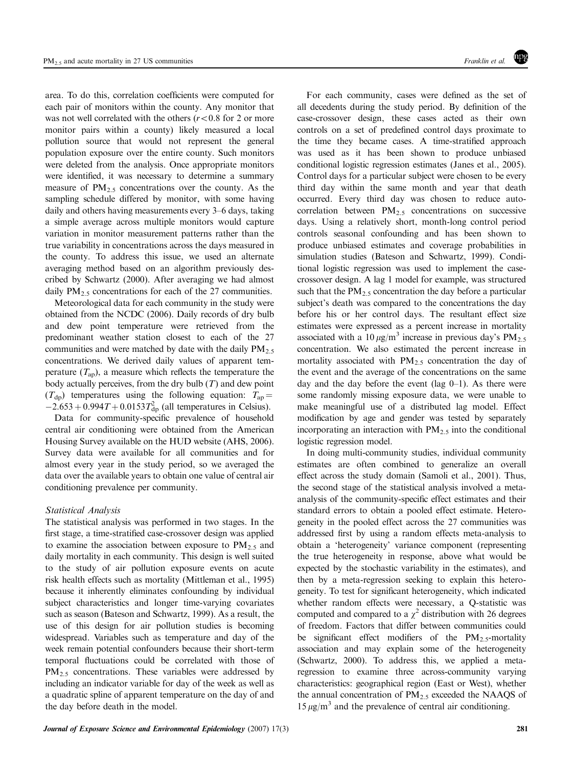area. To do this, correlation coefficients were computed for each pair of monitors within the county. Any monitor that was not well correlated with the others ( $r < 0.8$  for 2 or more monitor pairs within a county) likely measured a local pollution source that would not represent the general population exposure over the entire county. Such monitors were deleted from the analysis. Once appropriate monitors were identified, it was necessary to determine a summary measure of  $PM_{2.5}$  concentrations over the county. As the sampling schedule differed by monitor, with some having daily and others having measurements every 3–6 days, taking a simple average across multiple monitors would capture variation in monitor measurement patterns rather than the true variability in concentrations across the days measured in the county. To address this issue, we used an alternate averaging method based on an algorithm previously described by Schwartz (2000). After averaging we had almost daily  $PM_{2.5}$  concentrations for each of the 27 communities.

Meteorological data for each community in the study were obtained from the NCDC (2006). Daily records of dry bulb and dew point temperature were retrieved from the predominant weather station closest to each of the 27 communities and were matched by date with the daily  $PM<sub>2.5</sub>$ concentrations. We derived daily values of apparent temperature  $(T_{ap})$ , a measure which reflects the temperature the body actually perceives, from the dry bulb  $(T)$  and dew point  $(T<sub>dp</sub>)$  temperatures using the following equation:  $T<sub>ap</sub> =$  $-2.653 + 0.994T + 0.0153T_{dp}^2$  (all temperatures in Celsius).

Data for community-specific prevalence of household central air conditioning were obtained from the American Housing Survey available on the HUD website (AHS, 2006). Survey data were available for all communities and for almost every year in the study period, so we averaged the data over the available years to obtain one value of central air conditioning prevalence per community.

### Statistical Analysis

The statistical analysis was performed in two stages. In the first stage, a time-stratified case-crossover design was applied to examine the association between exposure to  $PM_2$ , and daily mortality in each community. This design is well suited to the study of air pollution exposure events on acute risk health effects such as mortality (Mittleman et al., 1995) because it inherently eliminates confounding by individual subject characteristics and longer time-varying covariates such as season (Bateson and Schwartz, 1999). As a result, the use of this design for air pollution studies is becoming widespread. Variables such as temperature and day of the week remain potential confounders because their short-term temporal fluctuations could be correlated with those of  $PM_{2.5}$  concentrations. These variables were addressed by including an indicator variable for day of the week as well as a quadratic spline of apparent temperature on the day of and the day before death in the model.

For each community, cases were defined as the set of all decedents during the study period. By definition of the case-crossover design, these cases acted as their own controls on a set of predefined control days proximate to the time they became cases. A time-stratified approach was used as it has been shown to produce unbiased conditional logistic regression estimates (Janes et al., 2005). Control days for a particular subject were chosen to be every third day within the same month and year that death occurred. Every third day was chosen to reduce autocorrelation between  $PM_{2.5}$  concentrations on successive days. Using a relatively short, month-long control period controls seasonal confounding and has been shown to produce unbiased estimates and coverage probabilities in simulation studies (Bateson and Schwartz, 1999). Conditional logistic regression was used to implement the casecrossover design. A lag 1 model for example, was structured such that the  $PM_{2.5}$  concentration the day before a particular subject's death was compared to the concentrations the day before his or her control days. The resultant effect size estimates were expressed as a percent increase in mortality associated with a 10  $\mu$ g/m<sup>3</sup> increase in previous day's PM<sub>2.5</sub> concentration. We also estimated the percent increase in mortality associated with  $PM_{2.5}$  concentration the day of the event and the average of the concentrations on the same day and the day before the event (lag  $0-1$ ). As there were some randomly missing exposure data, we were unable to make meaningful use of a distributed lag model. Effect modification by age and gender was tested by separately incorporating an interaction with  $PM_{2.5}$  into the conditional logistic regression model.

In doing multi-community studies, individual community estimates are often combined to generalize an overall effect across the study domain (Samoli et al., 2001). Thus, the second stage of the statistical analysis involved a metaanalysis of the community-specific effect estimates and their standard errors to obtain a pooled effect estimate. Heterogeneity in the pooled effect across the 27 communities was addressed first by using a random effects meta-analysis to obtain a 'heterogeneity' variance component (representing the true heterogeneity in response, above what would be expected by the stochastic variability in the estimates), and then by a meta-regression seeking to explain this heterogeneity. To test for significant heterogeneity, which indicated whether random effects were necessary, a Q-statistic was computed and compared to a  $\chi^2$  distribution with 26 degrees of freedom. Factors that differ between communities could be significant effect modifiers of the PM<sub>2.5</sub>-mortality association and may explain some of the heterogeneity (Schwartz, 2000). To address this, we applied a metaregression to examine three across-community varying characteristics: geographical region (East or West), whether the annual concentration of PM<sub>2.5</sub> exceeded the NAAQS of  $15 \mu g/m^3$  and the prevalence of central air conditioning.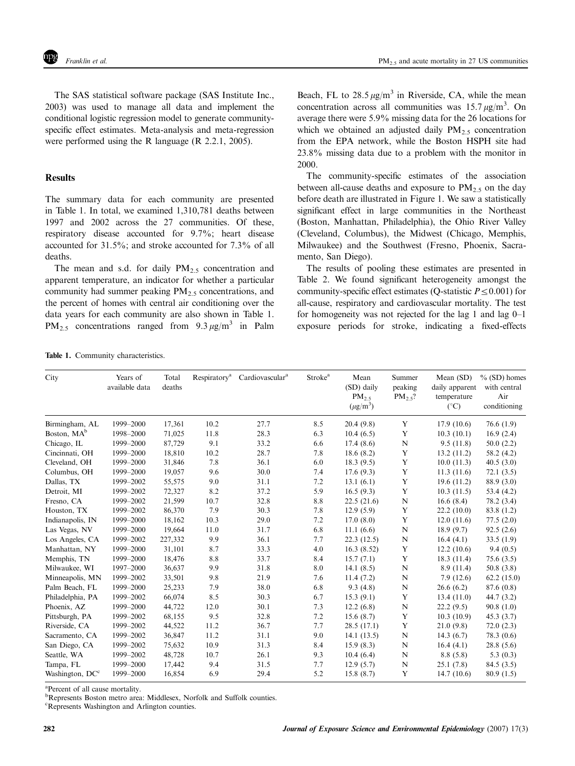The SAS statistical software package (SAS Institute Inc., 2003) was used to manage all data and implement the conditional logistic regression model to generate communityspecific effect estimates. Meta-analysis and meta-regression were performed using the R language (R 2.2.1, 2005).

## **Results**

The summary data for each community are presented in Table 1. In total, we examined 1,310,781 deaths between 1997 and 2002 across the 27 communities. Of these, respiratory disease accounted for 9.7%; heart disease accounted for 31.5%; and stroke accounted for 7.3% of all deaths.

The mean and s.d. for daily  $PM_{2.5}$  concentration and apparent temperature, an indicator for whether a particular community had summer peaking  $PM<sub>2.5</sub>$  concentrations, and the percent of homes with central air conditioning over the data years for each community are also shown in Table 1.  $PM_{2.5}$  concentrations ranged from  $9.3 \mu g/m^3$  in Palm Beach, FL to  $28.5 \mu g/m^3$  in Riverside, CA, while the mean concentration across all communities was  $15.7 \,\mu g/m^3$ . On average there were 5.9% missing data for the 26 locations for which we obtained an adjusted daily  $PM_2$ , concentration from the EPA network, while the Boston HSPH site had 23.8% missing data due to a problem with the monitor in 2000.

The community-specific estimates of the association between all-cause deaths and exposure to  $PM_2$ , on the day before death are illustrated in Figure 1. We saw a statistically significant effect in large communities in the Northeast (Boston, Manhattan, Philadelphia), the Ohio River Valley (Cleveland, Columbus), the Midwest (Chicago, Memphis, Milwaukee) and the Southwest (Fresno, Phoenix, Sacramento, San Diego).

The results of pooling these estimates are presented in Table 2. We found significant heterogeneity amongst the community-specific effect estimates (Q-statistic  $P \leq 0.001$ ) for all-cause, respiratory and cardiovascular mortality. The test for homogeneity was not rejected for the lag 1 and lag 0–1 exposure periods for stroke, indicating a fixed-effects

| City                        | Years of<br>available data | Total<br>deaths | Respiratory <sup>a</sup> | Cardiovascular <sup>a</sup> | Stroke <sup>a</sup> | Mean<br>(SD) daily<br>$PM_2$<br>$(\mu g/m^3)$ | Summer<br>peaking<br>$PM_{2.5}$ ? | Mean (SD)<br>daily apparent<br>temperature<br>$({}^{\circ}C)$ | $\%$ (SD) homes<br>with central<br>Air<br>conditioning |
|-----------------------------|----------------------------|-----------------|--------------------------|-----------------------------|---------------------|-----------------------------------------------|-----------------------------------|---------------------------------------------------------------|--------------------------------------------------------|
| Birmingham, AL              | 1999-2000                  | 17,361          | 10.2                     | 27.7                        | 8.5                 | 20.4(9.8)                                     | Y                                 | 17.9(10.6)                                                    | 76.6(1.9)                                              |
| Boston, MA <sup>b</sup>     | 1998-2000                  | 71,025          | 11.8                     | 28.3                        | 6.3                 | 10.4(6.5)                                     | Y                                 | 10.3(10.1)                                                    | 16.9(2.4)                                              |
| Chicago, IL                 | 1999-2000                  | 87,729          | 9.1                      | 33.2                        | 6.6                 | 17.4(8.6)                                     | ${\bf N}$                         | 9.5(11.8)                                                     | 50.0(2.2)                                              |
| Cincinnati, OH              | 1999-2000                  | 18,810          | 10.2                     | 28.7                        | 7.8                 | 18.6(8.2)                                     | Y                                 | 13.2(11.2)                                                    | 58.2 (4.2)                                             |
| Cleveland, OH               | 1999-2000                  | 31,846          | 7.8                      | 36.1                        | 6.0                 | 18.3(9.5)                                     | $\mathbf Y$                       | 10.0(11.3)                                                    | 40.5(3.0)                                              |
| Columbus, OH                | 1999-2000                  | 19,057          | 9.6                      | 30.0                        | 7.4                 | 17.6(9.3)                                     | Y                                 | 11.3(11.6)                                                    | 72.1(3.5)                                              |
| Dallas, TX                  | 1999-2002                  | 55,575          | 9.0                      | 31.1                        | 7.2                 | 13.1(6.1)                                     | Y                                 | 19.6(11.2)                                                    | 88.9 (3.0)                                             |
| Detroit, MI                 | 1999-2002                  | 72,327          | 8.2                      | 37.2                        | 5.9                 | 16.5(9.3)                                     | Y                                 | 10.3(11.5)                                                    | 53.4 (4.2)                                             |
| Fresno, CA                  | 1999-2002                  | 21,599          | 10.7                     | 32.8                        | 8.8                 | 22.5(21.6)                                    | ${\bf N}$                         | 16.6(8.4)                                                     | 78.2 (3.4)                                             |
| Houston, TX                 | 1999-2002                  | 86,370          | 7.9                      | 30.3                        | 7.8                 | 12.9(5.9)                                     | Y                                 | 22.2(10.0)                                                    | 83.8 (1.2)                                             |
| Indianapolis, IN            | 1999-2000                  | 18,162          | 10.3                     | 29.0                        | 7.2                 | 17.0(8.0)                                     | Y                                 | 12.0(11.6)                                                    | 77.5(2.0)                                              |
| Las Vegas, NV               | 1999-2000                  | 19.664          | 11.0                     | 31.7                        | 6.8                 | 11.1(6.6)                                     | $\mathbf N$                       | 18.9(9.7)                                                     | 92.5(2.6)                                              |
| Los Angeles, CA             | 1999-2002                  | 227,332         | 9.9                      | 36.1                        | 7.7                 | 22.3(12.5)                                    | ${\bf N}$                         | 16.4(4.1)                                                     | 33.5(1.9)                                              |
| Manhattan, NY               | 1999-2000                  | 31,101          | 8.7                      | 33.3                        | 4.0                 | 16.3(8.52)                                    | Y                                 | 12.2(10.6)                                                    | 9.4(0.5)                                               |
| Memphis, TN                 | 1999-2000                  | 18,476          | 8.8                      | 33.7                        | 8.4                 | 15.7(7.1)                                     | Y                                 | 18.3 (11.4)                                                   | 75.6(3.5)                                              |
| Milwaukee, WI               | 1997-2000                  | 36,637          | 9.9                      | 31.8                        | 8.0                 | 14.1(8.5)                                     | ${\bf N}$                         | 8.9(11.4)                                                     | 50.8(3.8)                                              |
| Minneapolis, MN             | 1999-2002                  | 33,501          | 9.8                      | 21.9                        | 7.6                 | 11.4(7.2)                                     | $\mathbf N$                       | 7.9(12.6)                                                     | 62.2(15.0)                                             |
| Palm Beach, FL              | 1999-2000                  | 25,233          | 7.9                      | 38.0                        | 6.8                 | 9.3(4.8)                                      | $\mathbf N$                       | 26.6(6.2)                                                     | 87.6 (0.8)                                             |
| Philadelphia, PA            | 1999-2002                  | 66,074          | 8.5                      | 30.3                        | 6.7                 | 15.3(9.1)                                     | Y                                 | 13.4(11.0)                                                    | 44.7(3.2)                                              |
| Phoenix, AZ                 | 1999-2000                  | 44,722          | 12.0                     | 30.1                        | 7.3                 | 12.2(6.8)                                     | ${\bf N}$                         | 22.2(9.5)                                                     | 90.8(1.0)                                              |
| Pittsburgh, PA              | 1999-2002                  | 68,155          | 9.5                      | 32.8                        | 7.2                 | 15.6(8.7)                                     | Y                                 | 10.3(10.9)                                                    | 45.3(3.7)                                              |
| Riverside, CA               | 1999-2002                  | 44,522          | 11.2                     | 36.7                        | 7.7                 | 28.5(17.1)                                    | Y                                 | 21.0(9.8)                                                     | 72.0(2.3)                                              |
| Sacramento, CA              | 1999-2002                  | 36,847          | 11.2                     | 31.1                        | 9.0                 | 14.1(13.5)                                    | ${\bf N}$                         | 14.3(6.7)                                                     | 78.3 (0.6)                                             |
| San Diego, CA               | 1999-2002                  | 75,632          | 10.9                     | 31.3                        | 8.4                 | 15.9(8.3)                                     | N                                 | 16.4(4.1)                                                     | 28.8(5.6)                                              |
| Seattle, WA                 | 1999-2002                  | 48,728          | 10.7                     | 26.1                        | 9.3                 | 10.4(6.4)                                     | $\mathbf N$                       | 8.8(5.8)                                                      | 5.3(0.3)                                               |
| Tampa, FL                   | 1999-2000                  | 17,442          | 9.4                      | 31.5                        | 7.7                 | 12.9(5.7)                                     | N                                 | 25.1(7.8)                                                     | 84.5(3.5)                                              |
| Washington, DC <sup>c</sup> | 1999-2000                  | 16,854          | 6.9                      | 29.4                        | 5.2                 | 15.8(8.7)                                     | Y                                 | 14.7(10.6)                                                    | 80.9(1.5)                                              |

Table 1. Community characteristics.

a Percent of all cause mortality.

**PRepresents Boston metro area: Middlesex, Norfolk and Suffolk counties.** 

c Represents Washington and Arlington counties.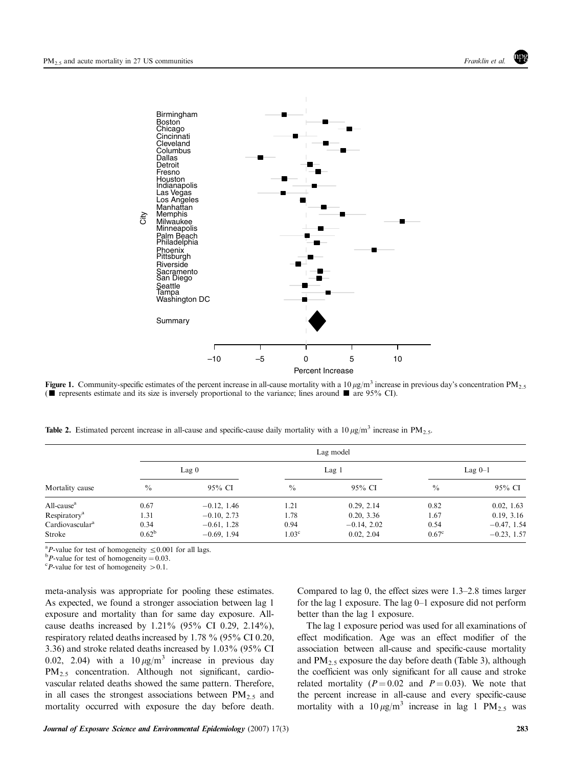

**Figure 1.** Community-specific estimates of the percent increase in all-cause mortality with a 10  $\mu$ g/m<sup>3</sup> increase in previous day's concentration PM<sub>2.5</sub> ( $\blacksquare$  represents estimate and its size is inversely proportional to the variance; lines around  $\blacksquare$  are 95% CI).

**Table 2.** Estimated percent increase in all-cause and specific-cause daily mortality with a 10  $\mu$ g/m<sup>3</sup> increase in PM<sub>2.5</sub>.

|                             | Lag model      |                  |                   |                  |                |               |  |  |  |
|-----------------------------|----------------|------------------|-------------------|------------------|----------------|---------------|--|--|--|
|                             |                | Lag <sub>0</sub> |                   | Lag <sub>1</sub> |                | Lag $0-1$     |  |  |  |
| Mortality cause             | $\frac{0}{0}$  | 95% CI           | $\frac{0}{0}$     | 95% CI           | $\frac{0}{0}$  | 95% CI        |  |  |  |
| All-cause <sup>a</sup>      | 0.67           | $-0.12, 1.46$    | 1.21              | 0.29, 2.14       | 0.82           | 0.02, 1.63    |  |  |  |
| Respiratory <sup>a</sup>    | 1.31           | $-0.10, 2.73$    | 1.78              | 0.20, 3.36       | 1.67           | 0.19, 3.16    |  |  |  |
| Cardiovascular <sup>a</sup> | 0.34           | $-0.61, 1.28$    | 0.94              | $-0.14, 2.02$    | 0.54           | $-0.47, 1.54$ |  |  |  |
| Stroke                      | $0.62^{\rm b}$ | $-0.69, 1.94$    | 1.03 <sup>c</sup> | 0.02, 2.04       | $0.67^{\circ}$ | $-0.23, 1.57$ |  |  |  |

<sup>a</sup>P-value for test of homogeneity  $\leq 0.001$  for all lags.<br>b<sub>P</sub> value for test of homogeneity – 0.03

 ${}^{b}P$ -value for test of homogeneity = 0.03.

 ${}^cP$ -value for test of homogeneity  $> 0.1$ .

meta-analysis was appropriate for pooling these estimates. As expected, we found a stronger association between lag 1 exposure and mortality than for same day exposure. Allcause deaths increased by  $1.21\%$  (95% CI 0.29, 2.14%), respiratory related deaths increased by 1.78 % (95% CI 0.20, 3.36) and stroke related deaths increased by 1.03% (95% CI 0.02, 2.04) with a  $10 \mu g/m^3$  increase in previous day  $PM<sub>2.5</sub>$  concentration. Although not significant, cardiovascular related deaths showed the same pattern. Therefore, in all cases the strongest associations between  $PM_{2.5}$  and mortality occurred with exposure the day before death. Compared to lag 0, the effect sizes were 1.3–2.8 times larger for the lag 1 exposure. The lag 0–1 exposure did not perform better than the lag 1 exposure.

The lag 1 exposure period was used for all examinations of effect modification. Age was an effect modifier of the association between all-cause and specific-cause mortality and  $PM_2$ , exposure the day before death (Table 3), although the coefficient was only significant for all cause and stroke related mortality ( $P = 0.02$  and  $P = 0.03$ ). We note that the percent increase in all-cause and every specific-cause mortality with a  $10 \mu g/m^3$  increase in lag 1 PM<sub>2.5</sub> was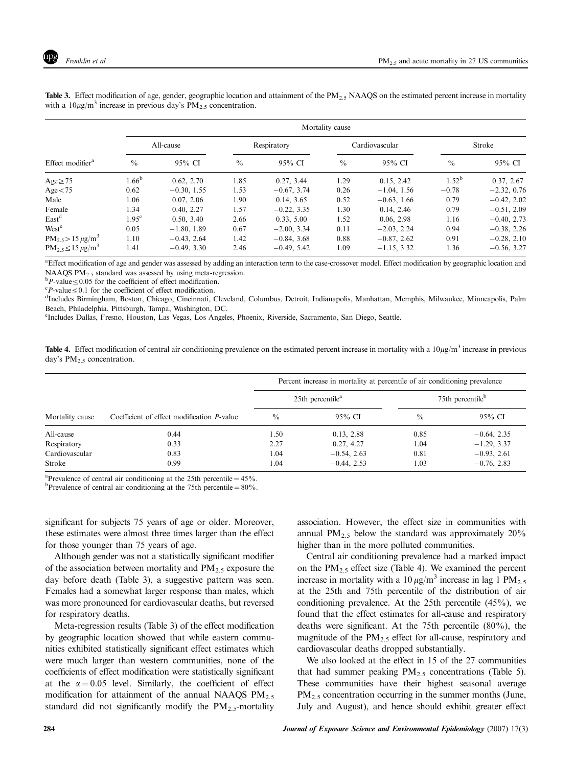|                               | Mortality cause   |               |               |               |                |               |                |               |  |
|-------------------------------|-------------------|---------------|---------------|---------------|----------------|---------------|----------------|---------------|--|
|                               | All-cause         |               | Respiratory   |               | Cardiovascular |               | Stroke         |               |  |
| Effect modifier <sup>a</sup>  | $\frac{0}{0}$     | 95% CI        | $\frac{0}{0}$ | 95% CI        | $\frac{0}{0}$  | 95% CI        | $\frac{0}{0}$  | 95% CI        |  |
| $Age \geq 75$                 | $1.66^{b}$        | 0.62, 2.70    | 1.85          | 0.27, 3.44    | 1.29           | 0.15, 2.42    | $1.52^{\rm b}$ | 0.37, 2.67    |  |
| Age < 75                      | 0.62              | $-0.30, 1.55$ | 1.53          | $-0.67, 3.74$ | 0.26           | $-1.04, 1.56$ | $-0.78$        | $-2.32, 0.76$ |  |
| Male                          | 1.06              | 0.07, 2.06    | 1.90          | 0.14, 3.65    | 0.52           | $-0.63, 1.66$ | 0.79           | $-0.42, 2.02$ |  |
| Female                        | 1.34              | 0.40, 2.27    | 1.57          | $-0.22, 3.35$ | 1.30           | 0.14, 2.46    | 0.79           | $-0.51, 2.09$ |  |
| East <sup>d</sup>             | 1.95 <sup>c</sup> | 0.50, 3.40    | 2.66          | 0.33, 5.00    | 1.52           | 0.06, 2.98    | 1.16           | $-0.40, 2.73$ |  |
| West <sup>e</sup>             | 0.05              | $-1.80, 1.89$ | 0.67          | $-2.00, 3.34$ | 0.11           | $-2.03, 2.24$ | 0.94           | $-0.38, 2.26$ |  |
| $PM_{2.5} > 15 \,\mu g/m^3$   | 1.10              | $-0.43, 2.64$ | 1.42          | $-0.84, 3.68$ | 0.88           | $-0.87, 2.62$ | 0.91           | $-0.28, 2.10$ |  |
| $PM_{2.5} \le 15 \,\mu g/m^3$ | 1.41              | $-0.49, 3.30$ | 2.46          | $-0.49, 5.42$ | 1.09           | $-1.15, 3.32$ | 1.36           | $-0.56, 3.27$ |  |

**Table 3.** Effect modification of age, gender, geographic location and attainment of the  $PM_{2.5}$  NAAQS on the estimated percent increase in mortality with a  $10\mu$ g/m<sup>3</sup> increase in previous day's PM<sub>2.5</sub> concentration.

a Effect modification of age and gender was assessed by adding an interaction term to the case-crossover model. Effect modification by geographic location and NAAQS  $PM<sub>2.5</sub>$  standard was assessed by using meta-regression.

 $bP$ -value  $\leq$  0.05 for the coefficient of effect modification.

 ${}^cP$ -value  $\leq$  0.1 for the coefficient of effect modification.

Includes Birmingham, Boston, Chicago, Cincinnati, Cleveland, Columbus, Detroit, Indianapolis, Manhattan, Memphis, Milwaukee, Minneapolis, Palm Beach, Philadelphia, Pittsburgh, Tampa, Washington, DC.

e Includes Dallas, Fresno, Houston, Las Vegas, Los Angeles, Phoenix, Riverside, Sacramento, San Diego, Seattle.

**Table 4.** Effect modification of central air conditioning prevalence on the estimated percent increase in mortality with a  $10\mu\text{g/m}^3$  increase in previous day's  $PM_{2.5}$  concentration.

|                 |                                                    | Percent increase in mortality at percentile of air conditioning prevalence |                                |                              |                |  |  |
|-----------------|----------------------------------------------------|----------------------------------------------------------------------------|--------------------------------|------------------------------|----------------|--|--|
|                 |                                                    |                                                                            | $25th$ percentile <sup>a</sup> | 75th percentile <sup>b</sup> |                |  |  |
| Mortality cause | Coefficient of effect modification <i>P</i> -value | $\frac{0}{0}$                                                              | 95% CI                         | $\frac{0}{0}$                | 95% CI         |  |  |
| All-cause       | 0.44                                               | 1.50                                                                       | 0.13, 2.88                     | 0.85                         | $-0.64$ , 2.35 |  |  |
| Respiratory     | 0.33                                               | 2.27                                                                       | 0.27, 4.27                     | 1.04                         | $-1.29, 3.37$  |  |  |
| Cardiovascular  | 0.83                                               | 1.04                                                                       | $-0.54, 2.63$                  | 0.81                         | $-0.93, 2.61$  |  |  |
| Stroke          | 0.99                                               | 1.04                                                                       | $-0.44, 2.53$                  | 1.03                         | $-0.76, 2.83$  |  |  |

<sup>a</sup>Prevalence of central air conditioning at the 25th percentile =  $45\%$ .<br><sup>b</sup>Prevalence of central air conditioning at the 75th percentile =  $80\%$ .

<sup>b</sup>Prevalence of central air conditioning at the 75th percentile =  $80\%$ .

significant for subjects 75 years of age or older. Moreover, these estimates were almost three times larger than the effect for those younger than 75 years of age.

Although gender was not a statistically significant modifier of the association between mortality and  $PM_{2.5}$  exposure the day before death (Table 3), a suggestive pattern was seen. Females had a somewhat larger response than males, which was more pronounced for cardiovascular deaths, but reversed for respiratory deaths.

Meta-regression results (Table 3) of the effect modification by geographic location showed that while eastern communities exhibited statistically significant effect estimates which were much larger than western communities, none of the coefficients of effect modification were statistically significant at the  $\alpha = 0.05$  level. Similarly, the coefficient of effect modification for attainment of the annual NAAQS  $PM_{2.5}$ standard did not significantly modify the  $PM_{2.5}$ -mortality association. However, the effect size in communities with annual  $PM_{2.5}$  below the standard was approximately  $20\%$ higher than in the more polluted communities.

Central air conditioning prevalence had a marked impact on the  $PM_{2.5}$  effect size (Table 4). We examined the percent increase in mortality with a  $10 \mu g/m^3$  increase in lag 1 PM<sub>2.5</sub> at the 25th and 75th percentile of the distribution of air conditioning prevalence. At the 25th percentile (45%), we found that the effect estimates for all-cause and respiratory deaths were significant. At the 75th percentile (80%), the magnitude of the  $PM_2$ , effect for all-cause, respiratory and cardiovascular deaths dropped substantially.

We also looked at the effect in 15 of the 27 communities that had summer peaking  $PM_{2.5}$  concentrations (Table 5). These communities have their highest seasonal average PM<sub>2.5</sub> concentration occurring in the summer months (June, July and August), and hence should exhibit greater effect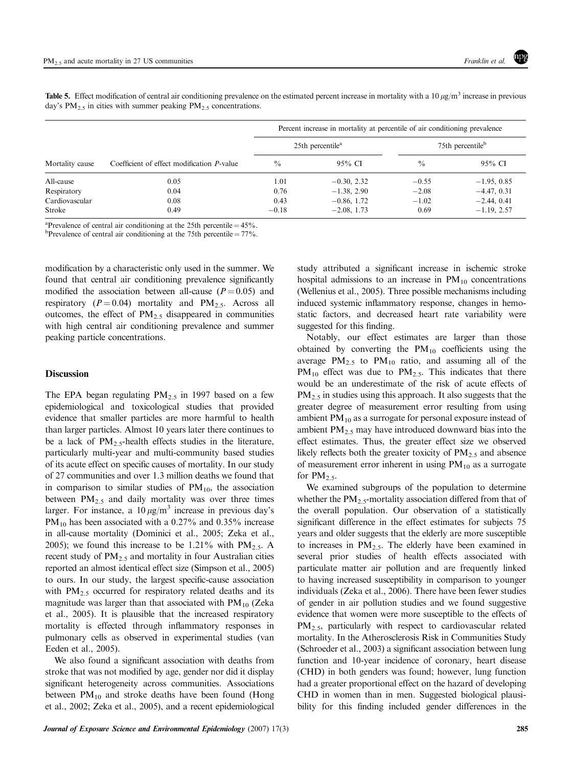**Table 5.** Effect modification of central air conditioning prevalence on the estimated percent increase in mortality with a 10  $\mu$ g/m<sup>3</sup> increase in previous day's  $PM_{2.5}$  in cities with summer peaking  $PM_{2.5}$  concentrations.

| Mortality cause |                                                    | Percent increase in mortality at percentile of air conditioning prevalence |                              |                              |               |  |  |
|-----------------|----------------------------------------------------|----------------------------------------------------------------------------|------------------------------|------------------------------|---------------|--|--|
|                 |                                                    |                                                                            | 25th percentile <sup>a</sup> | 75th percentile <sup>b</sup> |               |  |  |
|                 | Coefficient of effect modification <i>P</i> -value | $\frac{0}{0}$                                                              | 95% CI                       | $\frac{0}{0}$                | 95% CI        |  |  |
| All-cause       | 0.05                                               | 1.01                                                                       | $-0.30, 2.32$                | $-0.55$                      | $-1.95, 0.85$ |  |  |
| Respiratory     | 0.04                                               | 0.76                                                                       | $-1.38, 2.90$                | $-2.08$                      | $-4.47, 0.31$ |  |  |
| Cardiovascular  | 0.08                                               | 0.43                                                                       | $-0.86, 1.72$                | $-1.02$                      | $-2.44, 0.41$ |  |  |
| Stroke          | 0.49                                               | $-0.18$                                                                    | $-2.08$ , 1.73               | 0.69                         | $-1.19, 2.57$ |  |  |

<sup>a</sup>Prevalence of central air conditioning at the 25th percentile =  $45\%$ .<br><sup>b</sup>Prevalence of central air conditioning at the 75th percentile =  $77\%$ .

<sup>b</sup>Prevalence of central air conditioning at the 75th percentile =  $77\%$ .

modification by a characteristic only used in the summer. We found that central air conditioning prevalence significantly modified the association between all-cause ( $P = 0.05$ ) and respiratory ( $P = 0.04$ ) mortality and PM<sub>2.5</sub>. Across all outcomes, the effect of  $PM_{2.5}$  disappeared in communities with high central air conditioning prevalence and summer peaking particle concentrations.

## Discussion

The EPA began regulating  $PM_{2.5}$  in 1997 based on a few epidemiological and toxicological studies that provided evidence that smaller particles are more harmful to health than larger particles. Almost 10 years later there continues to be a lack of  $PM_2$ , health effects studies in the literature, particularly multi-year and multi-community based studies of its acute effect on specific causes of mortality. In our study of 27 communities and over 1.3 million deaths we found that in comparison to similar studies of  $PM_{10}$ , the association between  $PM_{2.5}$  and daily mortality was over three times larger. For instance, a  $10 \mu g/m^3$  increase in previous day's  $PM_{10}$  has been associated with a 0.27% and 0.35% increase in all-cause mortality (Dominici et al., 2005; Zeka et al., 2005); we found this increase to be 1.21% with  $PM_{2.5}$ . A recent study of  $PM_{2.5}$  and mortality in four Australian cities reported an almost identical effect size (Simpson et al., 2005) to ours. In our study, the largest specific-cause association with  $PM_{2.5}$  occurred for respiratory related deaths and its magnitude was larger than that associated with  $PM_{10}$  (Zeka et al., 2005). It is plausible that the increased respiratory mortality is effected through inflammatory responses in pulmonary cells as observed in experimental studies (van Eeden et al., 2005).

We also found a significant association with deaths from stroke that was not modified by age, gender nor did it display significant heterogeneity across communities. Associations between  $PM_{10}$  and stroke deaths have been found (Hong et al., 2002; Zeka et al., 2005), and a recent epidemiological study attributed a significant increase in ischemic stroke hospital admissions to an increase in  $PM_{10}$  concentrations (Wellenius et al., 2005). Three possible mechanisms including induced systemic inflammatory response, changes in hemostatic factors, and decreased heart rate variability were suggested for this finding.

Notably, our effect estimates are larger than those obtained by converting the  $PM_{10}$  coefficients using the average  $PM_{2,5}$  to  $PM_{10}$  ratio, and assuming all of the  $PM_{10}$  effect was due to  $PM_{2.5}$ . This indicates that there would be an underestimate of the risk of acute effects of  $PM_{2.5}$  in studies using this approach. It also suggests that the greater degree of measurement error resulting from using ambient  $PM_{10}$  as a surrogate for personal exposure instead of ambient  $PM_{2.5}$  may have introduced downward bias into the effect estimates. Thus, the greater effect size we observed likely reflects both the greater toxicity of  $PM<sub>2.5</sub>$  and absence of measurement error inherent in using  $PM_{10}$  as a surrogate for  $PM_{2.5}$ .

We examined subgroups of the population to determine whether the  $PM_{2.5}$ -mortality association differed from that of the overall population. Our observation of a statistically significant difference in the effect estimates for subjects 75 years and older suggests that the elderly are more susceptible to increases in  $PM_{2.5}$ . The elderly have been examined in several prior studies of health effects associated with particulate matter air pollution and are frequently linked to having increased susceptibility in comparison to younger individuals (Zeka et al., 2006). There have been fewer studies of gender in air pollution studies and we found suggestive evidence that women were more susceptible to the effects of  $PM<sub>2.5</sub>$ , particularly with respect to cardiovascular related mortality. In the Atherosclerosis Risk in Communities Study (Schroeder et al., 2003) a significant association between lung function and 10-year incidence of coronary, heart disease (CHD) in both genders was found; however, lung function had a greater proportional effect on the hazard of developing CHD in women than in men. Suggested biological plausibility for this finding included gender differences in the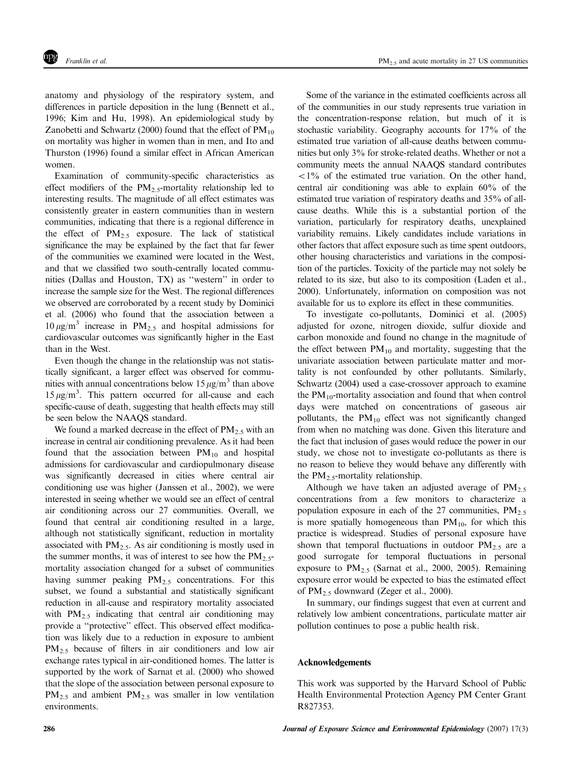anatomy and physiology of the respiratory system, and differences in particle deposition in the lung (Bennett et al., 1996; Kim and Hu, 1998). An epidemiological study by Zanobetti and Schwartz (2000) found that the effect of  $PM_{10}$ on mortality was higher in women than in men, and Ito and Thurston (1996) found a similar effect in African American women.

Examination of community-specific characteristics as effect modifiers of the PM<sub>2.5</sub>-mortality relationship led to interesting results. The magnitude of all effect estimates was consistently greater in eastern communities than in western communities, indicating that there is a regional difference in the effect of  $PM_{2.5}$  exposure. The lack of statistical significance the may be explained by the fact that far fewer of the communities we examined were located in the West, and that we classified two south-centrally located communities (Dallas and Houston, TX) as ''western'' in order to increase the sample size for the West. The regional differences we observed are corroborated by a recent study by Dominici et al. (2006) who found that the association between a  $10 \mu g/m^3$  increase in PM<sub>2.5</sub> and hospital admissions for cardiovascular outcomes was significantly higher in the East than in the West.

Even though the change in the relationship was not statistically significant, a larger effect was observed for communities with annual concentrations below  $15 \mu g/m^3$  than above  $15 \mu g/m^3$ . This pattern occurred for all-cause and each specific-cause of death, suggesting that health effects may still be seen below the NAAQS standard.

We found a marked decrease in the effect of  $PM_{2.5}$  with an increase in central air conditioning prevalence. As it had been found that the association between  $PM_{10}$  and hospital admissions for cardiovascular and cardiopulmonary disease was significantly decreased in cities where central air conditioning use was higher (Janssen et al., 2002), we were interested in seeing whether we would see an effect of central air conditioning across our 27 communities. Overall, we found that central air conditioning resulted in a large, although not statistically significant, reduction in mortality associated with  $PM_{2.5}$ . As air conditioning is mostly used in the summer months, it was of interest to see how the  $PM_{2.5}$ mortality association changed for a subset of communities having summer peaking  $PM_{2.5}$  concentrations. For this subset, we found a substantial and statistically significant reduction in all-cause and respiratory mortality associated with  $PM_{2.5}$  indicating that central air conditioning may provide a ''protective'' effect. This observed effect modification was likely due to a reduction in exposure to ambient PM<sub>2.5</sub> because of filters in air conditioners and low air exchange rates typical in air-conditioned homes. The latter is supported by the work of Sarnat et al. (2000) who showed that the slope of the association between personal exposure to  $PM_{2.5}$  and ambient  $PM_{2.5}$  was smaller in low ventilation environments.

Some of the variance in the estimated coefficients across all of the communities in our study represents true variation in the concentration-response relation, but much of it is stochastic variability. Geography accounts for 17% of the estimated true variation of all-cause deaths between communities but only 3% for stroke-related deaths. Whether or not a community meets the annual NAAQS standard contributes  $\langle 1\%$  of the estimated true variation. On the other hand, central air conditioning was able to explain 60% of the estimated true variation of respiratory deaths and 35% of allcause deaths. While this is a substantial portion of the variation, particularly for respiratory deaths, unexplained variability remains. Likely candidates include variations in other factors that affect exposure such as time spent outdoors, other housing characteristics and variations in the composition of the particles. Toxicity of the particle may not solely be related to its size, but also to its composition (Laden et al., 2000). Unfortunately, information on composition was not available for us to explore its effect in these communities.

To investigate co-pollutants, Dominici et al. (2005) adjusted for ozone, nitrogen dioxide, sulfur dioxide and carbon monoxide and found no change in the magnitude of the effect between  $PM_{10}$  and mortality, suggesting that the univariate association between particulate matter and mortality is not confounded by other pollutants. Similarly, Schwartz (2004) used a case-crossover approach to examine the  $PM_{10}$ -mortality association and found that when control days were matched on concentrations of gaseous air pollutants, the  $PM_{10}$  effect was not significantly changed from when no matching was done. Given this literature and the fact that inclusion of gases would reduce the power in our study, we chose not to investigate co-pollutants as there is no reason to believe they would behave any differently with the  $PM_{2.5}$ -mortality relationship.

Although we have taken an adjusted average of  $PM<sub>2.5</sub>$ concentrations from a few monitors to characterize a population exposure in each of the 27 communities,  $PM_{2.5}$ is more spatially homogeneous than  $PM_{10}$ , for which this practice is widespread. Studies of personal exposure have shown that temporal fluctuations in outdoor  $PM_{2.5}$  are a good surrogate for temporal fluctuations in personal exposure to  $PM_{2.5}$  (Sarnat et al., 2000, 2005). Remaining exposure error would be expected to bias the estimated effect of  $PM_{2.5}$  downward (Zeger et al., 2000).

In summary, our findings suggest that even at current and relatively low ambient concentrations, particulate matter air pollution continues to pose a public health risk.

### Acknowledgements

This work was supported by the Harvard School of Public Health Environmental Protection Agency PM Center Grant R827353.